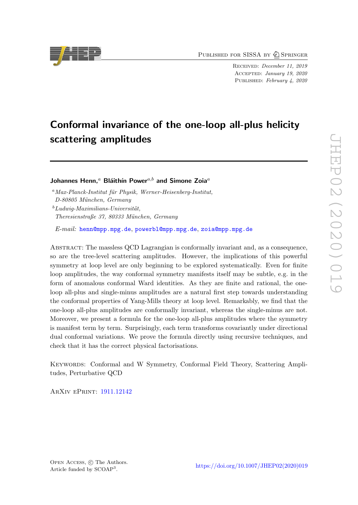PUBLISHED FOR SISSA BY 2 SPRINGER

Received: December 11, 2019 Accepted: January 19, 2020 PUBLISHED: February 4, 2020

# Conformal invariance of the one-loop all-plus helicity scattering amplitudes

Johannes Henn,<sup>a</sup> Bláithín Power<sup>a,b</sup> and Simone Zoia<sup>a</sup>

 $^{a}$ Max-Planck-Institut für Physik, Werner-Heisenberg-Institut, D-80805 München, Germany  $^{b}$ Ludwig-Maximilians-Universität, Theresienstraße 37, 80333 München, Germany

E-mail: [henn@mpp.mpg.de](mailto:henn@mpp.mpg.de), [powerbl@mpp.mpg.de](mailto:powerbl@mpp.mpg.de), [zoia@mpp.mpg.de](mailto:zoia@mpp.mpg.de)

Abstract: The massless QCD Lagrangian is conformally invariant and, as a consequence, so are the tree-level scattering amplitudes. However, the implications of this powerful symmetry at loop level are only beginning to be explored systematically. Even for finite loop amplitudes, the way conformal symmetry manifests itself may be subtle, e.g. in the form of anomalous conformal Ward identities. As they are finite and rational, the oneloop all-plus and single-minus amplitudes are a natural first step towards understanding the conformal properties of Yang-Mills theory at loop level. Remarkably, we find that the one-loop all-plus amplitudes are conformally invariant, whereas the single-minus are not. Moreover, we present a formula for the one-loop all-plus amplitudes where the symmetry is manifest term by term. Surprisingly, each term transforms covariantly under directional dual conformal variations. We prove the formula directly using recursive techniques, and check that it has the correct physical factorisations.

Keywords: Conformal and W Symmetry, Conformal Field Theory, Scattering Amplitudes, Perturbative QCD

ArXiv ePrint: [1911.12142](https://arxiv.org/abs/1911.12142)



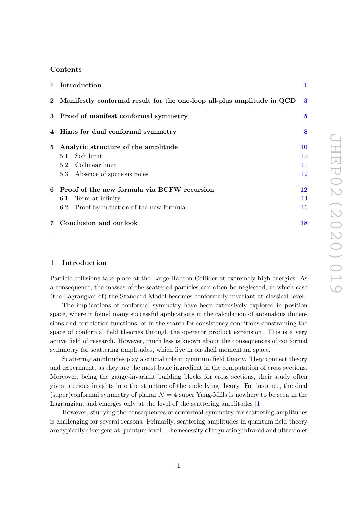# Contents

| 2 Manifestly conformal result for the one-loop all-plus amplitude in QCD<br>3 Proof of manifest conformal symmetry<br>4 Hints for dual conformal symmetry<br>Analytic structure of the amplitude<br>5 <sup>5</sup><br>Soft limit<br>5.1<br>5.2 Collinear limit<br>5.3 Absence of spurious poles<br>6 Proof of the new formula via BCFW recursion<br>6.1 Term at infinity<br>6.2 Proof by induction of the new formula<br>7 Conclusion and outlook | 1        |
|---------------------------------------------------------------------------------------------------------------------------------------------------------------------------------------------------------------------------------------------------------------------------------------------------------------------------------------------------------------------------------------------------------------------------------------------------|----------|
|                                                                                                                                                                                                                                                                                                                                                                                                                                                   | $\bf{3}$ |
|                                                                                                                                                                                                                                                                                                                                                                                                                                                   | $\bf{5}$ |
|                                                                                                                                                                                                                                                                                                                                                                                                                                                   | 8        |
|                                                                                                                                                                                                                                                                                                                                                                                                                                                   | 10       |
|                                                                                                                                                                                                                                                                                                                                                                                                                                                   | 10       |
|                                                                                                                                                                                                                                                                                                                                                                                                                                                   | 11       |
|                                                                                                                                                                                                                                                                                                                                                                                                                                                   | 12       |
|                                                                                                                                                                                                                                                                                                                                                                                                                                                   | 12       |
|                                                                                                                                                                                                                                                                                                                                                                                                                                                   | 14       |
|                                                                                                                                                                                                                                                                                                                                                                                                                                                   | 16       |
|                                                                                                                                                                                                                                                                                                                                                                                                                                                   | 18       |

## <span id="page-1-0"></span>1 Introduction

Particle collisions take place at the Large Hadron Collider at extremely high energies. As a consequence, the masses of the scattered particles can often be neglected, in which case (the Lagrangian of) the Standard Model becomes conformally invariant at classical level.

The implications of conformal symmetry have been extensively explored in position space, where it found many successful applications in the calculation of anomalous dimensions and correlation functions, or in the search for consistency conditions constraining the space of conformal field theories through the operator product expansion. This is a very active field of research. However, much less is known about the consequences of conformal symmetry for scattering amplitudes, which live in on-shell momentum space.

Scattering amplitudes play a crucial role in quantum field theory. They connect theory and experiment, as they are the most basic ingredient in the computation of cross sections. Moreover, being the gauge-invariant building blocks for cross sections, their study often gives precious insights into the structure of the underlying theory. For instance, the dual (super)conformal symmetry of planar  $\mathcal{N} = 4$  super Yang-Mills is nowhere to be seen in the Lagrangian, and emerges only at the level of the scattering amplitudes [\[1\]](#page-19-0).

However, studying the consequences of conformal symmetry for scattering amplitudes is challenging for several reasons. Primarily, scattering amplitudes in quantum field theory are typically divergent at quantum level. The necessity of regulating infrared and ultraviolet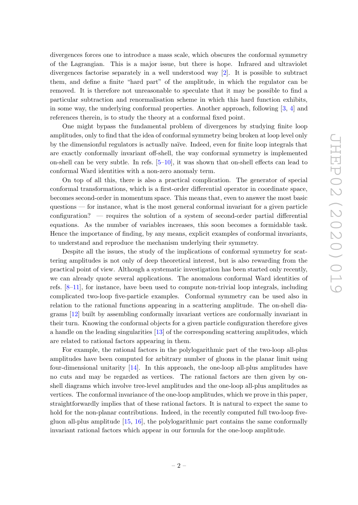divergences forces one to introduce a mass scale, which obscures the conformal symmetry of the Lagrangian. This is a major issue, but there is hope. Infrared and ultraviolet divergences factorise separately in a well understood way [\[2\]](#page-19-1). It is possible to subtract them, and define a finite "hard part" of the amplitude, in which the regulator can be removed. It is therefore not unreasonable to speculate that it may be possible to find a particular subtraction and renormalisation scheme in which this hard function exhibits, in some way, the underlying conformal properties. Another approach, following [\[3,](#page-19-2) [4\]](#page-19-3) and references therein, is to study the theory at a conformal fixed point.

One might bypass the fundamental problem of divergences by studying finite loop amplitudes, only to find that the idea of conformal symmetry being broken at loop level only by the dimensionful regulators is actually na¨ıve. Indeed, even for finite loop integrals that are exactly conformally invariant off-shell, the way conformal symmetry is implemented on-shell can be very subtle. In refs.  $[5-10]$  $[5-10]$ , it was shown that on-shell effects can lead to conformal Ward identities with a non-zero anomaly term.

On top of all this, there is also a practical complication. The generator of special conformal transformations, which is a first-order differential operator in coordinate space, becomes second-order in momentum space. This means that, even to answer the most basic questions — for instance, what is the most general conformal invariant for a given particle configuration? — requires the solution of a system of second-order partial differential equations. As the number of variables increases, this soon becomes a formidable task. Hence the importance of finding, by any means, explicit examples of conformal invariants, to understand and reproduce the mechanism underlying their symmetry.

Despite all the issues, the study of the implications of conformal symmetry for scattering amplitudes is not only of deep theoretical interest, but is also rewarding from the practical point of view. Although a systematic investigation has been started only recently, we can already quote several applications. The anomalous conformal Ward identities of refs. [\[8](#page-19-6)[–11\]](#page-19-7), for instance, have been used to compute non-trivial loop integrals, including complicated two-loop five-particle examples. Conformal symmetry can be used also in relation to the rational functions appearing in a scattering amplitude. The on-shell diagrams [\[12\]](#page-19-8) built by assembling conformally invariant vertices are conformally invariant in their turn. Knowing the conformal objects for a given particle configuration therefore gives a handle on the leading singularities [\[13\]](#page-19-9) of the corresponding scattering amplitudes, which are related to rational factors appearing in them.

For example, the rational factors in the polylogarithmic part of the two-loop all-plus amplitudes have been computed for arbitrary number of gluons in the planar limit using four-dimensional unitarity  $[14]$ . In this approach, the one-loop all-plus amplitudes have no cuts and may be regarded as vertices. The rational factors are then given by onshell diagrams which involve tree-level amplitudes and the one-loop all-plus amplitudes as vertices. The conformal invariance of the one-loop amplitudes, which we prove in this paper, straightforwardly implies that of these rational factors. It is natural to expect the same to hold for the non-planar contributions. Indeed, in the recently computed full two-loop fivegluon all-plus amplitude [\[15,](#page-19-11) [16\]](#page-19-12), the polylogarithmic part contains the same conformally invariant rational factors which appear in our formula for the one-loop amplitude.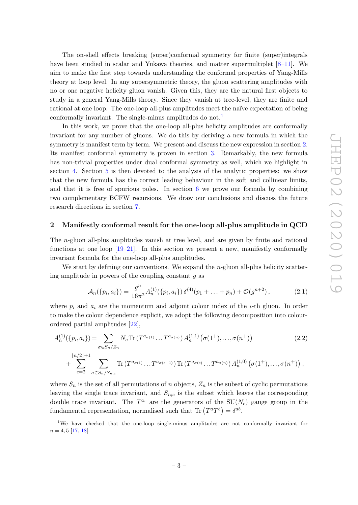The on-shell effects breaking (super)conformal symmetry for finite (super)integrals have been studied in scalar and Yukawa theories, and matter supermultiplet [\[8](#page-19-6)[–11\]](#page-19-7). We aim to make the first step towards understanding the conformal properties of Yang-Mills theory at loop level. In any supersymmetric theory, the gluon scattering amplitudes with no or one negative helicity gluon vanish. Given this, they are the natural first objects to study in a general Yang-Mills theory. Since they vanish at tree-level, they are finite and rational at one loop. The one-loop all-plus amplitudes meet the naïve expectation of being conformally invariant. The single-minus amplitudes do not.<sup>[1](#page-3-1)</sup>

In this work, we prove that the one-loop all-plus helicity amplitudes are conformally invariant for any number of gluons. We do this by deriving a new formula in which the symmetry is manifest term by term. We present and discuss the new expression in section [2.](#page-3-0) Its manifest conformal symmetry is proven in section [3.](#page-5-0) Remarkably, the new formula has non-trivial properties under dual conformal symmetry as well, which we highlight in section [4.](#page-8-0) Section [5](#page-10-0) is then devoted to the analysis of the analytic properties: we show that the new formula has the correct leading behaviour in the soft and collinear limits, and that it is free of spurious poles. In section [6](#page-12-1) we prove our formula by combining two complementary BCFW recursions. We draw our conclusions and discuss the future research directions in section [7.](#page-18-0)

## <span id="page-3-0"></span>2 Manifestly conformal result for the one-loop all-plus amplitude in QCD

The n-gluon all-plus amplitudes vanish at tree level, and are given by finite and rational functions at one loop  $[19–21]$  $[19–21]$ . In this section we present a new, manifestly conformally invariant formula for the one-loop all-plus amplitudes.

We start by defining our conventions. We expand the  $n$ -gluon all-plus helicity scattering amplitude in powers of the coupling constant  $g$  as

<span id="page-3-2"></span>
$$
\mathcal{A}_n(\{p_i, a_i\}) = \frac{g^n}{16\pi^2} A_n^{(1)}(\{p_i, a_i\}) \, \delta^{(4)}(p_1 + \ldots + p_n) + \mathcal{O}(g^{n+2}), \tag{2.1}
$$

where  $p_i$  and  $a_i$  are the momentum and adjoint colour index of the *i*-th gluon. In order to make the colour dependence explicit, we adopt the following decomposition into colourordered partial amplitudes [\[22\]](#page-20-2),

$$
A_n^{(1)}(\{p_i, a_i\}) = \sum_{\sigma \in S_n/Z_n} N_c \text{Tr}\left(T^{a_{\sigma(1)}} \dots T^{a_{\sigma(n)}}\right) A_n^{(1,1)}\left(\sigma(1^+), \dots, \sigma(n^+)\right) \tag{2.2}
$$
  
+ 
$$
\sum_{c=2}^{\lfloor n/2 \rfloor + 1} \sum_{\sigma \in S_n/S_{n;c}} \text{Tr}\left(T^{a_{\sigma(1)}} \dots T^{a_{\sigma(c-1)}}\right) \text{Tr}\left(T^{a_{\sigma(c)}} \dots T^{a_{\sigma(n)}}\right) A_n^{(1,0)}\left(\sigma(1^+), \dots, \sigma(n^+)\right),
$$

where  $S_n$  is the set of all permutations of n objects,  $Z_n$  is the subset of cyclic permutations leaving the single trace invariant, and  $S_{n;c}$  is the subset which leaves the corresponding double trace invariant. The  $T^{a_i}$  are the generators of the  $SU(N_c)$  gauge group in the fundamental representation, normalised such that  $\text{Tr}(T^a T^b) = \delta^{ab}$ .

<span id="page-3-1"></span><sup>&</sup>lt;sup>1</sup>We have checked that the one-loop single-minus amplitudes are not conformally invariant for  $n = 4, 5$  [\[17,](#page-19-13) [18\]](#page-19-14).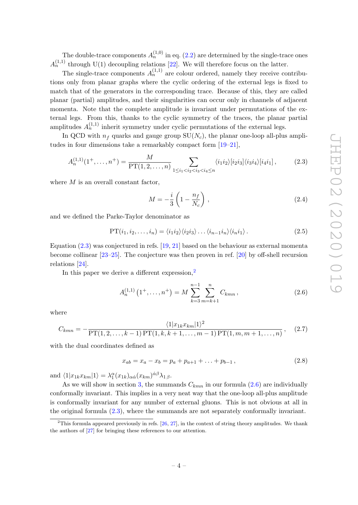The double-trace components  $A_n^{(1,0)}$  in eq. [\(2.2\)](#page-3-2) are determined by the single-trace ones  $A_n^{(1,1)}$  through U(1) decoupling relations [\[22\]](#page-20-2). We will therefore focus on the latter.

The single-trace components  $A_n^{(1,1)}$  are colour ordered, namely they receive contributions only from planar graphs where the cyclic ordering of the external legs is fixed to match that of the generators in the corresponding trace. Because of this, they are called planar (partial) amplitudes, and their singularities can occur only in channels of adjacent momenta. Note that the complete amplitude is invariant under permutations of the external legs. From this, thanks to the cyclic symmetry of the traces, the planar partial amplitudes  $A_n^{(1,1)}$  inherit symmetry under cyclic permutations of the external legs.

In QCD with  $n_f$  quarks and gauge group  $SU(N_c)$ , the planar one-loop all-plus amplitudes in four dimensions take a remarkably compact form [\[19](#page-20-0)[–21\]](#page-20-1),

$$
A_n^{(1,1)}(1^+,\ldots,n^+) = \frac{M}{\Pr(1,2,\ldots,n)} \sum_{1 \le i_1 < i_2 < i_3 < i_4 \le n} \langle i_1 i_2 \rangle [i_2 i_3] \langle i_3 i_4 \rangle [i_4 i_1],\tag{2.3}
$$

where  $M$  is an overall constant factor,

<span id="page-4-2"></span><span id="page-4-0"></span>
$$
M = -\frac{i}{3} \left( 1 - \frac{n_f}{N_c} \right) , \qquad (2.4)
$$

and we defined the Parke-Taylor denominator as

$$
PT(i_1, i_2, \dots, i_n) = \langle i_1 i_2 \rangle \langle i_2 i_3 \rangle \dots \langle i_{n-1} i_n \rangle \langle i_n i_1 \rangle.
$$
 (2.5)

Equation  $(2.3)$  was conjectured in refs. [\[19,](#page-20-0) [21\]](#page-20-1) based on the behaviour as external momenta become collinear [\[23–](#page-20-3)[25\]](#page-20-4). The conjecture was then proven in ref. [\[20\]](#page-20-5) by off-shell recursion relations [\[24\]](#page-20-6).

In this paper we derive a different expression.<sup>[2](#page-4-1)</sup>

$$
A_n^{(1,1)}\left(1^+,\ldots,n^+\right) = M \sum_{k=3}^{n-1} \sum_{m=k+1}^n C_{kmn},\qquad(2.6)
$$

where

$$
C_{kmn} = -\frac{\langle 1|x_{1k}x_{km}|1\rangle^2}{\text{PT}(1,2,\ldots,k-1)\text{PT}(1,k,k+1,\ldots,m-1)\text{PT}(1,m,m+1,\ldots,n)},\quad(2.7)
$$

with the dual coordinates defined as

<span id="page-4-3"></span>
$$
x_{ab} = x_a - x_b = p_a + p_{a+1} + \ldots + p_{b-1}, \qquad (2.8)
$$

and  $\langle 1|x_{1k}x_{km}|1\rangle = \lambda_1^{\alpha}(x_{1k})_{\alpha\dot{\alpha}}(x_{km})^{\dot{\alpha}\beta}\lambda_{1\beta}$ .

As we will show in section [3,](#page-5-0) the summands  $C_{kmn}$  in our formula [\(2.6\)](#page-4-2) are individually conformally invariant. This implies in a very neat way that the one-loop all-plus amplitude is conformally invariant for any number of external gluons. This is not obvious at all in the original formula [\(2.3\)](#page-4-0), where the summands are not separately conformally invariant.

<span id="page-4-1"></span><sup>&</sup>lt;sup>2</sup>This formula appeared previously in refs. [\[26,](#page-20-7) [27\]](#page-20-8), in the context of string theory amplitudes. We thank the authors of [\[27\]](#page-20-8) for bringing these references to our attention.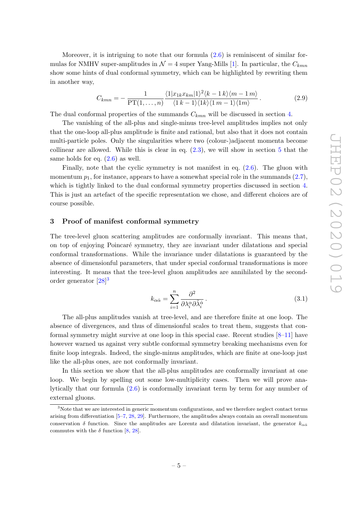Moreover, it is intriguing to note that our formula  $(2.6)$  is reminiscent of similar formulas for NMHV super-amplitudes in  $\mathcal{N} = 4$  super Yang-Mills [\[1\]](#page-19-0). In particular, the  $C_{kmn}$ show some hints of dual conformal symmetry, which can be highlighted by rewriting them in another way,

<span id="page-5-3"></span>
$$
C_{kmn} = -\frac{1}{\text{PT}(1,\ldots,n)} \frac{\langle 1|x_{1k}x_{km}|1\rangle^2 \langle k-1|k\rangle \langle m-1|m\rangle}{\langle 1|k-1\rangle \langle 1|k\rangle \langle 1|m-1\rangle \langle 1|m\rangle}.
$$
(2.9)

The dual conformal properties of the summands  $C_{kmn}$  will be discussed in section [4.](#page-8-0)

The vanishing of the all-plus and single-minus tree-level amplitudes implies not only that the one-loop all-plus amplitude is finite and rational, but also that it does not contain multi-particle poles. Only the singularities where two (colour-)adjacent momenta become collinear are allowed. While this is clear in eq.  $(2.3)$ , we will show in section [5](#page-10-0) that the same holds for eq.  $(2.6)$  as well.

Finally, note that the cyclic symmetry is not manifest in eq.  $(2.6)$ . The gluon with momentum  $p_1$ , for instance, appears to have a somewhat special role in the summands  $(2.7)$ , which is tightly linked to the dual conformal symmetry properties discussed in section [4.](#page-8-0) This is just an artefact of the specific representation we chose, and different choices are of course possible.

## <span id="page-5-0"></span>3 Proof of manifest conformal symmetry

The tree-level gluon scattering amplitudes are conformally invariant. This means that, on top of enjoying Poincar´e symmetry, they are invariant under dilatations and special conformal transformations. While the invariance under dilatations is guaranteed by the absence of dimensionful parameters, that under special conformal transformations is more interesting. It means that the tree-level gluon amplitudes are annihilated by the second-order generator [\[28\]](#page-20-9)<sup>[3](#page-5-1)</sup>

<span id="page-5-2"></span>
$$
k_{\alpha\dot{\alpha}} = \sum_{i=1}^{n} \frac{\partial^2}{\partial \lambda_i^{\alpha} \partial \tilde{\lambda}_i^{\dot{\alpha}}}.
$$
\n(3.1)

The all-plus amplitudes vanish at tree-level, and are therefore finite at one loop. The absence of divergences, and thus of dimensionful scales to treat them, suggests that conformal symmetry might survive at one loop in this special case. Recent studies [\[8–](#page-19-6)[11\]](#page-19-7) have however warned us against very subtle conformal symmetry breaking mechanisms even for finite loop integrals. Indeed, the single-minus amplitudes, which are finite at one-loop just like the all-plus ones, are not conformally invariant.

In this section we show that the all-plus amplitudes are conformally invariant at one loop. We begin by spelling out some low-multiplicity cases. Then we will prove analytically that our formula [\(2.6\)](#page-4-2) is conformally invariant term by term for any number of external gluons.

<span id="page-5-1"></span><sup>&</sup>lt;sup>3</sup>Note that we are interested in generic momentum configurations, and we therefore neglect contact terms arising from differentiation [\[5–](#page-19-4)[7,](#page-19-15) [28,](#page-20-9) [29\]](#page-20-10). Furthermore, the amplitudes always contain an overall momentum conservation δ function. Since the amplitudes are Lorentz and dilatation invariant, the generator  $k_{\alpha\dot{\alpha}}$ commutes with the  $\delta$  function [\[8,](#page-19-6) [28\]](#page-20-9).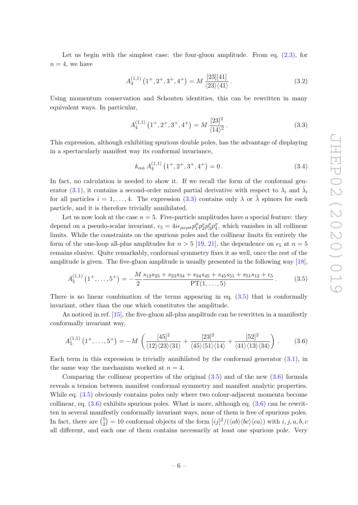Let us begin with the simplest case: the four-gluon amplitude. From eq.  $(2.3)$ , for  $n = 4$ , we have

<span id="page-6-3"></span>
$$
A_4^{(1,1)}\left(1^+, 2^+, 3^+, 4^+\right) = M \frac{[23][41]}{\langle 23 \rangle \langle 41 \rangle} \,. \tag{3.2}
$$

Using momentum conservation and Schouten identities, this can be rewritten in many equivalent ways. In particular,

<span id="page-6-0"></span>
$$
A_4^{(1,1)}\left(1^+,2^+,3^+,4^+\right) = M\,\frac{[23]^2}{\langle 14\rangle^2} \,. \tag{3.3}
$$

This expression, although exhibiting spurious double poles, has the advantage of displaying in a spectacularly manifest way its conformal invariance,

<span id="page-6-1"></span>
$$
k_{\alpha\dot{\alpha}} A_4^{(1,1)} (1^+, 2^+, 3^+, 4^+) = 0.
$$
 (3.4)

In fact, no calculation is needed to show it. If we recall the form of the conformal gen-erator [\(3.1\)](#page-5-2), it contains a second-order mixed partial derivative with respect to  $\lambda_i$  and  $\tilde{\lambda}_i$ for all particles  $i = 1, \ldots, 4$ . The expression [\(3.3\)](#page-6-0) contains only  $\lambda$  or  $\lambda$  spinors for each particle, and it is therefore trivially annihilated.

Let us now look at the case  $n = 5$ . Five-particle amplitudes have a special feature: they depend on a pseudo-scalar invariant,  $\epsilon_5 = 4i\epsilon_{\mu\nu\rho\sigma}p_1^{\mu}$  $n_1^{\mu} p_2^{\nu} p_3^{\rho}$  $\int_3^{\rho} p_4^{\sigma}$ , which vanishes in all collinear limits. While the constraints on the spurious poles and the collinear limits fix entirely the form of the one-loop all-plus amplitudes for  $n > 5$  [\[19,](#page-20-0) [21\]](#page-20-1), the dependence on  $\epsilon_5$  at  $n = 5$ remains elusive. Quite remarkably, conformal symmetry fixes it as well, once the rest of the amplitude is given. The five-gluon amplitude is usually presented in the following way [\[18\]](#page-19-14),

$$
A_5^{(1,1)}\left(1^+,\ldots,5^+\right) = -\frac{M}{2}\frac{s_{12}s_{23} + s_{23}s_{34} + s_{34}s_{45} + s_{45}s_{51} + s_{51}s_{12} + \epsilon_5}{\text{PT}(1,\ldots,5)}\,. \tag{3.5}
$$

There is no linear combination of the terms appearing in eq. [\(3.5\)](#page-6-1) that is conformally invariant, other than the one which constitutes the amplitude.

As noticed in ref. [\[15\]](#page-19-11), the five-gluon all-plus amplitude can be rewritten in a manifestly conformally invariant way,

<span id="page-6-2"></span>
$$
A_5^{(1,1)}\left(1^+,\ldots,5^+\right) = -M\left(\frac{[45]^2}{\langle 12\rangle\langle 23\rangle\langle 31\rangle} + \frac{[23]^2}{\langle 45\rangle\langle 51\rangle\langle 14\rangle} + \frac{[52]^2}{\langle 41\rangle\langle 13\rangle\langle 34\rangle}\right). \tag{3.6}
$$

Each term in this expression is trivially annihilated by the conformal generator  $(3.1)$ , in the same way the mechanism worked at  $n = 4$ .

Comparing the collinear properties of the original [\(3.5\)](#page-6-1) and of the new [\(3.6\)](#page-6-2) formula reveals a tension between manifest conformal symmetry and manifest analytic properties. While eq. [\(3.5\)](#page-6-1) obviously contains poles only where two colour-adjacent momenta become collinear, eq.  $(3.6)$  exhibits spurious poles. What is more, although eq.  $(3.6)$  can be rewritten in several manifestly conformally invariant ways, none of them is free of spurious poles. In fact, there are  $\binom{5}{2}$  $\binom{5}{2} = 10$  conformal objects of the form  $[ij]^2/(\langle ab \rangle \langle bc \rangle \langle ca \rangle)$  with  $i, j, a, b, c$ all different, and each one of them contains necessarily at least one spurious pole. Very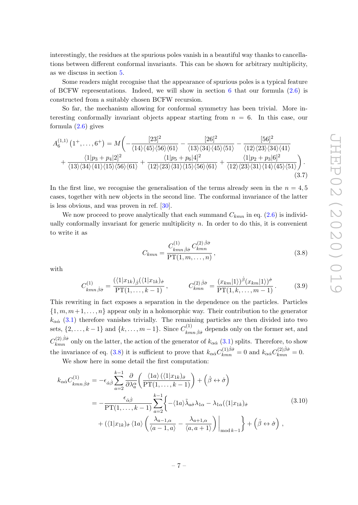interestingly, the residues at the spurious poles vanish in a beautiful way thanks to cancellations between different conformal invariants. This can be shown for arbitrary multiplicity, as we discuss in section [5.](#page-10-0)

Some readers might recognise that the appearance of spurious poles is a typical feature of BCFW representations. Indeed, we will show in section [6](#page-12-1) that our formula  $(2.6)$  is constructed from a suitably chosen BCFW recursion.

So far, the mechanism allowing for conformal symmetry has been trivial. More interesting conformally invariant objects appear starting from  $n = 6$ . In this case, our formula [\(2.6\)](#page-4-2) gives

$$
A_6^{(1,1)}\left(1^+,\ldots,6^+\right) = M\left(-\frac{[23]^2}{\langle 14\rangle\langle 45\rangle\langle 56\rangle\langle 61\rangle} - \frac{[26]^2}{\langle 13\rangle\langle 34\rangle\langle 45\rangle\langle 51\rangle} - \frac{[56]^2}{\langle 12\rangle\langle 23\rangle\langle 34\rangle\langle 41\rangle} + \frac{\langle 1|p_3 + p_4|2]^2}{\langle 13\rangle\langle 34\rangle\langle 41\rangle\langle 15\rangle\langle 56\rangle\langle 61\rangle} + \frac{\langle 1|p_5 + p_6|4]^2}{\langle 12\rangle\langle 23\rangle\langle 31\rangle\langle 15\rangle\langle 56\rangle\langle 61\rangle} + \frac{\langle 1|p_2 + p_3|6]^2}{\langle 12\rangle\langle 23\rangle\langle 31\rangle\langle 14\rangle\langle 45\rangle\langle 51\rangle}\right). \tag{3.7}
$$

In the first line, we recognise the generalisation of the terms already seen in the  $n = 4, 5$ cases, together with new objects in the second line. The conformal invariance of the latter is less obvious, and was proven in ref. [\[30\]](#page-20-11).

We now proceed to prove analytically that each summand  $C_{kmn}$  in eq. [\(2.6\)](#page-4-2) is individually conformally invariant for generic multiplicity  $n$ . In order to do this, it is convenient to write it as

<span id="page-7-1"></span><span id="page-7-0"></span>
$$
C_{kmn} = \frac{C_{kmn}^{(1)} \beta \dot{\sigma}}{\text{PT}(1, m, \dots, n)},
$$
\n(3.8)

with

$$
C_{kmn\,\dot{\beta}\dot{\sigma}}^{(1)} = \frac{(\langle 1|x_{1k}\rangle_{\dot{\beta}}(\langle 1|x_{1k}\rangle_{\dot{\sigma}}}{\text{PT}(1,\ldots,k-1)}, \qquad C_{kmn}^{(2)\,\dot{\beta}\dot{\sigma}} = \frac{(x_{km}|1\rangle)^{\dot{\beta}}(x_{km}|1\rangle)^{\dot{\sigma}}}{\text{PT}(1,k,\ldots,m-1)}.
$$
(3.9)

This rewriting in fact exposes a separation in the dependence on the particles. Particles  $\{1, m, m+1, \ldots, n\}$  appear only in a holomorphic way. Their contribution to the generator  $k_{\alpha\dot{\alpha}}$  [\(3.1\)](#page-5-2) therefore vanishes trivially. The remaining particles are then divided into two sets,  $\{2, \ldots, k-1\}$  and  $\{k, \ldots, m-1\}$ . Since  $C_{\ell,m}^{(1)}$  $\lim_{kmn} \dot{\beta}\dot{\sigma}$  depends only on the former set, and  $C_{kmn}^{(2)}$   $\dot{\beta}\dot{\sigma}$  only on the latter, the action of the generator of  $k_{\alpha\dot{\alpha}}$  [\(3.1\)](#page-5-2) splits. Therefore, to show the invariance of eq. [\(3.8\)](#page-7-0) it is sufficient to prove that  $k_{\alpha\dot{\alpha}}C_{kmn}^{(1)\dot{\beta}\dot{\sigma}} = 0$  and  $k_{\alpha\dot{\alpha}}C_{kmn}^{(2)\dot{\beta}\dot{\sigma}} = 0$ .

We show here in some detail the first computation:

$$
k_{\alpha\dot{\alpha}}C_{kmn\,\dot{\beta}\dot{\sigma}}^{(1)} = -\epsilon_{\dot{\alpha}\dot{\beta}}\sum_{a=2}^{k-1} \frac{\partial}{\partial\lambda_a^{\alpha}} \left(\frac{\langle 1a\rangle\left(\langle 1|x_{1k}\rangle_{\dot{\sigma}}}{\text{PT}(1,\ldots,k-1)}\right) + \left(\dot{\beta} \leftrightarrow \dot{\sigma}\right)\right)
$$
  

$$
= -\frac{\epsilon_{\dot{\alpha}\dot{\beta}}}{\text{PT}(1,\ldots,k-1)}\sum_{a=2}^{k-1} \left\{-\langle 1a\rangle\tilde{\lambda}_{a\dot{\sigma}}\lambda_{1\alpha} - \lambda_{1\alpha}(\langle 1|x_{1k}\rangle_{\dot{\sigma}} \right.\right.
$$

$$
+ (\langle 1|x_{1k}\rangle_{\dot{\sigma}}\langle 1a\rangle)\left(\frac{\lambda_{a-1,\alpha}}{\langle a-1,a\rangle} - \frac{\lambda_{a+1,\alpha}}{\langle a,a+1\rangle}\right)\Big|_{\text{mod }k-1} + (\dot{\beta} \leftrightarrow \dot{\sigma}), \tag{3.10}
$$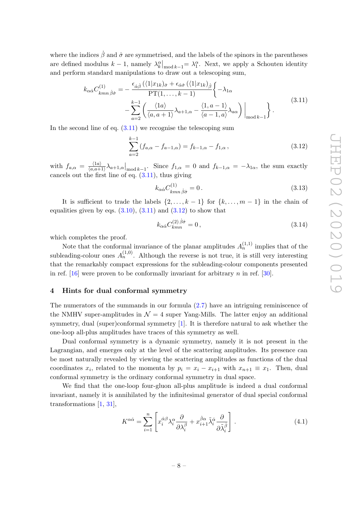where the indices  $\beta$  and  $\dot{\sigma}$  are symmetrised, and the labels of the spinors in the parentheses are defined modulus  $k-1$ , namely  $\lambda_k^{\alpha}|_{\text{mod }k-1} = \lambda_1^{\alpha}$ . Next, we apply a Schouten identity and perform standard manipulations to draw out a telescoping sum,

<span id="page-8-1"></span>
$$
k_{\alpha\dot{\alpha}}C_{kmn\,\dot{\beta}\dot{\sigma}}^{(1)} = -\frac{\epsilon_{\dot{\alpha}\dot{\beta}}\left(\langle 1|x_{1k}\rangle_{\dot{\sigma}} + \epsilon_{\dot{\alpha}\dot{\sigma}}\left(\langle 1|x_{1k}\rangle_{\dot{\beta}}\right)}{\mathrm{PT}(1,\ldots,k-1)} \left\{-\lambda_{1\alpha}\right.\right.\left. - \sum_{a=2}^{k-1} \left(\frac{\langle 1a\rangle}{\langle a,a+1\rangle}\lambda_{a+1,a} - \frac{\langle 1,a-1\rangle}{\langle a-1,a\rangle}\lambda_{a\alpha}\right)\Big|_{\mathrm{mod}\,k-1}\right\}.
$$
\n(3.11)

In the second line of eq.  $(3.11)$  we recognise the telescoping sum

$$
\sum_{a=2}^{k-1} (f_{a,\alpha} - f_{a-1,\alpha}) = f_{k-1,\alpha} - f_{1,\alpha},
$$
\n(3.12)

with  $f_{a,\alpha} = \frac{\langle 1a \rangle}{\langle a,a+1 \rangle}$  $\frac{\langle 1a \rangle}{\langle a,a+1 \rangle} \lambda_{a+1,\alpha}\Big|_{\text{mod }k-1}$ . Since  $f_{1,\alpha} = 0$  and  $f_{k-1,\alpha} = -\lambda_{1\alpha}$ , the sum exactly cancels out the first line of eq.  $(3.11)$ , thus giving

<span id="page-8-2"></span>
$$
k_{\alpha\dot{\alpha}}C^{(1)}_{kmn\,\dot{\beta}\dot{\sigma}} = 0. \tag{3.13}
$$

It is sufficient to trade the labels  $\{2, \ldots, k-1\}$  for  $\{k, \ldots, m-1\}$  in the chain of equalities given by eqs.  $(3.10)$ ,  $(3.11)$  and  $(3.12)$  to show that

$$
k_{\alpha\dot{\alpha}}C_{kmn}^{(2)\dot{\beta}\dot{\sigma}} = 0, \qquad (3.14)
$$

which completes the proof.

Note that the conformal invariance of the planar amplitudes  $A_n^{(1,1)}$  implies that of the subleading-colour ones  $A_n^{(1,0)}$ . Although the reverse is not true, it is still very interesting that the remarkably compact expressions for the subleading-colour components presented in ref.  $[16]$  were proven to be conformally invariant for arbitrary n in ref.  $[30]$ .

## <span id="page-8-0"></span>4 Hints for dual conformal symmetry

The numerators of the summands in our formula [\(2.7\)](#page-4-3) have an intriguing reminiscence of the NMHV super-amplitudes in  $\mathcal{N} = 4$  super Yang-Mills. The latter enjoy an additional symmetry, dual (super)conformal symmetry [\[1\]](#page-19-0). It is therefore natural to ask whether the one-loop all-plus amplitudes have traces of this symmetry as well.

Dual conformal symmetry is a dynamic symmetry, namely it is not present in the Lagrangian, and emerges only at the level of the scattering amplitudes. Its presence can be most naturally revealed by viewing the scattering amplitudes as functions of the dual coordinates  $x_i$ , related to the momenta by  $p_i = x_i - x_{i+1}$  with  $x_{n+1} \equiv x_1$ . Then, dual conformal symmetry is the ordinary conformal symmetry in dual space.

We find that the one-loop four-gluon all-plus amplitude is indeed a dual conformal invariant, namely it is annihilated by the infinitesimal generator of dual special conformal transformations [\[1,](#page-19-0) [31\]](#page-20-12),

<span id="page-8-3"></span>
$$
K^{\alpha\dot{\alpha}} = \sum_{i=1}^{n} \left[ x_i^{\dot{\alpha}\beta} \lambda_i^{\alpha} \frac{\partial}{\partial \lambda_i^{\beta}} + x_{i+1}^{\dot{\beta}\alpha} \tilde{\lambda}_i^{\dot{\alpha}} \frac{\partial}{\partial \tilde{\lambda}_i^{\dot{\beta}}} \right].
$$
 (4.1)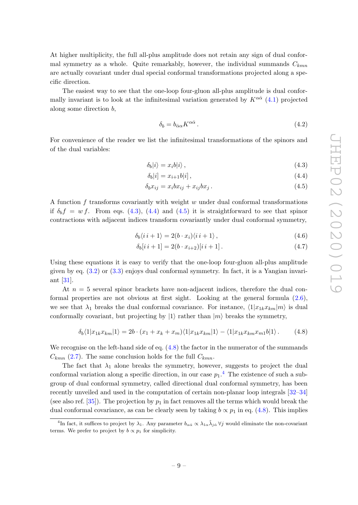At higher multiplicity, the full all-plus amplitude does not retain any sign of dual conformal symmetry as a whole. Quite remarkably, however, the individual summands  $C_{kmn}$ are actually covariant under dual special conformal transformations projected along a specific direction.

The easiest way to see that the one-loop four-gluon all-plus amplitude is dual conformally invariant is to look at the infinitesimal variation generated by  $K^{\alpha\dot{\alpha}}$  [\(4.1\)](#page-8-3) projected along some direction b,

<span id="page-9-2"></span><span id="page-9-1"></span><span id="page-9-0"></span>
$$
\delta_b = b_{\dot{\alpha}\alpha} K^{\alpha\dot{\alpha}} \,. \tag{4.2}
$$

For convenience of the reader we list the infinitesimal transformations of the spinors and of the dual variables:

$$
\delta_b|i\rangle = x_i b|i\rangle \,,\tag{4.3}
$$

$$
\delta_b[i] = x_{i+1}b[i],\tag{4.4}
$$

$$
\delta_b x_{ij} = x_i b x_{ij} + x_{ij} b x_j. \tag{4.5}
$$

A function  $f$  transforms covariantly with weight  $w$  under dual conformal transformations if  $\delta_b f = wf$ . From eqs. [\(4.3\)](#page-9-0), [\(4.4\)](#page-9-1) and [\(4.5\)](#page-9-2) it is straightforward to see that spinor contractions with adjacent indices transform covariantly under dual conformal symmetry,

$$
\delta_b \langle i \, i+1 \rangle = 2(b \cdot x_i) \langle i \, i+1 \rangle \,, \tag{4.6}
$$

<span id="page-9-3"></span>
$$
\delta_b[i \, i+1] = 2(b \cdot x_{i+2})[i \, i+1]. \tag{4.7}
$$

Using these equations it is easy to verify that the one-loop four-gluon all-plus amplitude given by eq.  $(3.2)$  or  $(3.3)$  enjoys dual conformal symmetry. In fact, it is a Yangian invariant [\[31\]](#page-20-12).

At  $n = 5$  several spinor brackets have non-adjacent indices, therefore the dual conformal properties are not obvious at first sight. Looking at the general formula  $(2.6)$ , we see that  $\lambda_1$  breaks the dual conformal covariance. For instance,  $\langle 1|x_1kx_{km}|m\rangle$  is dual conformally covariant, but projecting by  $|1\rangle$  rather than  $|m\rangle$  breaks the symmetry,

$$
\delta_b \langle 1 | x_{1k} x_{km} | 1 \rangle = 2b \cdot (x_1 + x_k + x_m) \langle 1 | x_{1k} x_{km} | 1 \rangle - \langle 1 | x_{1k} x_{km} x_{m1} b | 1 \rangle. \tag{4.8}
$$

We recognise on the left-hand side of eq.  $(4.8)$  the factor in the numerator of the summands  $C_{kmn}$  [\(2.7\)](#page-4-3). The same conclusion holds for the full  $C_{kmn}$ .

The fact that  $\lambda_1$  alone breaks the symmetry, however, suggests to project the dual conformal variation along a specific direction, in our case  $p_1$ .<sup>[4](#page-9-4)</sup> The existence of such a subgroup of dual conformal symmetry, called directional dual conformal symmetry, has been recently unveiled and used in the computation of certain non-planar loop integrals [\[32–](#page-20-13)[34\]](#page-20-14) (see also ref.  $[35]$ ). The projection by  $p_1$  in fact removes all the terms which would break the dual conformal covariance, as can be clearly seen by taking  $b \propto p_1$  in eq. [\(4.8\)](#page-9-3). This implies

<span id="page-9-4"></span><sup>&</sup>lt;sup>4</sup>In fact, it suffices to project by  $\lambda_1$ . Any parameter  $b_{\alpha\dot{\alpha}} \propto \lambda_{1\alpha} \tilde{\lambda}_{j\dot{\alpha}} \forall j$  would eliminate the non-covariant terms. We prefer to project by  $b \propto p_1$  for simplicity.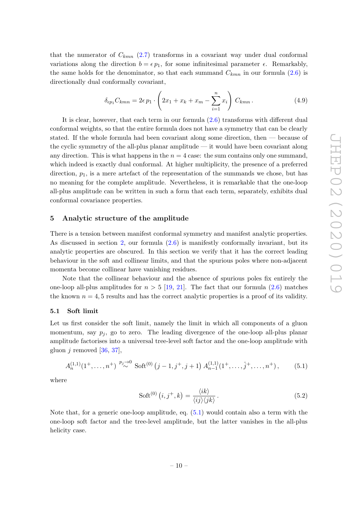that the numerator of  $C_{kmn}$  [\(2.7\)](#page-4-3) transforms in a covariant way under dual conformal variations along the direction  $b = \epsilon p_1$ , for some infinitesimal parameter  $\epsilon$ . Remarkably, the same holds for the denominator, so that each summand  $C_{kmn}$  in our formula [\(2.6\)](#page-4-2) is directionally dual conformally covariant,

$$
\delta_{\epsilon p_1} C_{kmn} = 2\epsilon p_1 \cdot \left( 2x_1 + x_k + x_m - \sum_{i=1}^n x_i \right) C_{kmn} . \tag{4.9}
$$

It is clear, however, that each term in our formula [\(2.6\)](#page-4-2) transforms with different dual conformal weights, so that the entire formula does not have a symmetry that can be clearly stated. If the whole formula had been covariant along some direction, then — because of the cyclic symmetry of the all-plus planar amplitude — it would have been covariant along any direction. This is what happens in the  $n = 4$  case: the sum contains only one summand, which indeed is exactly dual conformal. At higher multiplicity, the presence of a preferred direction,  $p_1$ , is a mere artefact of the representation of the summands we chose, but has no meaning for the complete amplitude. Nevertheless, it is remarkable that the one-loop all-plus amplitude can be written in such a form that each term, separately, exhibits dual conformal covariance properties.

#### <span id="page-10-0"></span>5 Analytic structure of the amplitude

There is a tension between manifest conformal symmetry and manifest analytic properties. As discussed in section [2,](#page-3-0) our formula  $(2.6)$  is manifestly conformally invariant, but its analytic properties are obscured. In this section we verify that it has the correct leading behaviour in the soft and collinear limits, and that the spurious poles where non-adjacent momenta become collinear have vanishing residues.

Note that the collinear behaviour and the absence of spurious poles fix entirely the one-loop all-plus amplitudes for  $n > 5$  [\[19,](#page-20-0) [21\]](#page-20-1). The fact that our formula [\(2.6\)](#page-4-2) matches the known  $n = 4, 5$  results and has the correct analytic properties is a proof of its validity.

## <span id="page-10-1"></span>5.1 Soft limit

Let us first consider the soft limit, namely the limit in which all components of a gluon momentum, say  $p_i$ , go to zero. The leading divergence of the one-loop all-plus planar amplitude factorises into a universal tree-level soft factor and the one-loop amplitude with gluon  $j$  removed [\[36,](#page-20-16) [37\]](#page-20-17),

<span id="page-10-2"></span>
$$
A_n^{(1,1)}(1^+,\ldots,n^+)\stackrel{p_j\to 0}{\sim} \text{Soft}^{(0)}(j-1,j^+,j+1) A_{n-1}^{(1,1)}(1^+,\ldots,\hat{j}^+,\ldots,n^+),\tag{5.1}
$$

where

$$
Soft^{(0)}(i,j^+,k) = \frac{\langle ik \rangle}{\langle ij \rangle \langle jk \rangle}.
$$
\n(5.2)

Note that, for a generic one-loop amplitude, eq. [\(5.1\)](#page-10-2) would contain also a term with the one-loop soft factor and the tree-level amplitude, but the latter vanishes in the all-plus helicity case.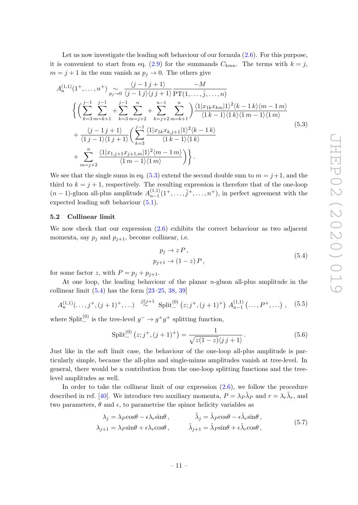Let us now investigate the leading soft behaviour of our formula  $(2.6)$ . For this purpose, it is convenient to start from eq. [\(2.9\)](#page-5-3) for the summands  $C_{kmn}$ . The terms with  $k = j$ ,  $m = j + 1$  in the sum vanish as  $p_j \to 0$ . The others give

<span id="page-11-1"></span>
$$
A_{n}^{(1,1)}(1^{+},...,n^{+}) \underset{p_{j}\to 0}{\sim} \frac{\langle j-1 j+1 \rangle} {\langle j-1 j \rangle \langle j j+1 \rangle} \frac{-M}{\Pr(1,...,\hat{j},...,n)}
$$
  

$$
\left\{ \left( \sum_{k=3}^{j-1} \sum_{m=k+1}^{j-1} + \sum_{k=3}^{n} \sum_{m=j+2}^{n} + \sum_{k=j+2}^{n} \sum_{m=k+1}^{n} \right) \frac{\langle 1 | x_{1k} x_{km} | 1 \rangle^{2} \langle k-1 k \rangle \langle m-1 m \rangle}{\langle 1 k-1 \rangle \langle 1 k \rangle \langle 1 m-1 \rangle \langle 1 m \rangle} + \frac{\langle j-1 j+1 \rangle}{\langle 1 j-1 \rangle \langle 1 j+1 \rangle} \left( \sum_{k=3}^{j-1} \frac{\langle 1 | x_{1k} x_{k,j+1} | 1 \rangle^{2} \langle k-1 k \rangle}{\langle 1 k-1 \rangle \langle 1 k \rangle} + \sum_{m=j+2}^{n} \frac{\langle 1 | x_{1,j+1} x_{j+1,m} | 1 \rangle^{2} \langle m-1 m \rangle}{\langle 1 m-1 \rangle \langle 1 m \rangle} \right) \right\}.
$$
  
(5.3)

We see that the single sums in eq. [\(5.3\)](#page-11-1) extend the second double sum to  $m = j+1$ , and the third to  $k = j + 1$ , respectively. The resulting expression is therefore that of the one-loop  $(n-1)$ -gluon all-plus amplitude  $A_{n-1}^{(1,1)}$  $_{n-1}^{(1,1)}(1^+,\ldots,\hat{j}^+,\ldots,n^+)$ , in perfect agreement with the expected leading soft behaviour [\(5.1\)](#page-10-2).

#### <span id="page-11-0"></span>5.2 Collinear limit

We now check that our expression [\(2.6\)](#page-4-2) exhibits the correct behaviour as two adjacent momenta, say  $p_j$  and  $p_{j+1}$ , become collinear, i.e.

<span id="page-11-2"></span>
$$
p_j \to z P,
$$
  
\n
$$
p_{j+1} \to (1-z) P,
$$
\n(5.4)

for some factor z, with  $P = p_j + p_{j+1}$ .

At one loop, the leading behaviour of the planar  $n$ -gluon all-plus amplitude in the collinear limit  $(5.4)$  has the form  $[23-25, 38, 39]$  $[23-25, 38, 39]$  $[23-25, 38, 39]$  $[23-25, 38, 39]$  $[23-25, 38, 39]$  $[23-25, 38, 39]$ 

<span id="page-11-3"></span>
$$
A_n^{(1,1)}(\ldots,j^+,(j+1)^+,\ldots) \stackrel{j||j+1}{\sim} \text{Split}^{(0)}_{-}(z;j^+, (j+1)^+) A_{n-1}^{(1,1)}(\ldots,P^+,\ldots) , \quad (5.5)
$$

where  $\text{Split}_{-}^{(0)}$  is the tree-level  $g^{-} \to g^{+}g^{+}$  splitting function,

$$
\text{Split}^{(0)}_{-}\left(z; j^{+}, (j+1)^{+}\right) = \frac{1}{\sqrt{z(1-z)}\langle j j+1 \rangle}.
$$
\n(5.6)

Just like in the soft limit case, the behaviour of the one-loop all-plus amplitude is particularly simple, because the all-plus and single-minus amplitudes vanish at tree-level. In general, there would be a contribution from the one-loop splitting functions and the treelevel amplitudes as well.

In order to take the collinear limit of our expression  $(2.6)$ , we follow the procedure described in ref. [\[40\]](#page-21-2). We introduce two auxiliary momenta,  $P = \lambda_P \tilde{\lambda}_P$  and  $r = \lambda_r \tilde{\lambda}_r$ , and two parameters,  $\theta$  and  $\epsilon$ , to parametrise the spinor helicity variables as

$$
\lambda_j = \lambda_P \cos \theta - \epsilon \lambda_r \sin \theta, \qquad \tilde{\lambda}_j = \tilde{\lambda}_P \cos \theta - \epsilon \tilde{\lambda}_r \sin \theta, \n\lambda_{j+1} = \lambda_P \sin \theta + \epsilon \lambda_r \cos \theta, \qquad \tilde{\lambda}_{j+1} = \tilde{\lambda}_P \sin \theta + \epsilon \tilde{\lambda}_r \cos \theta,
$$
\n(5.7)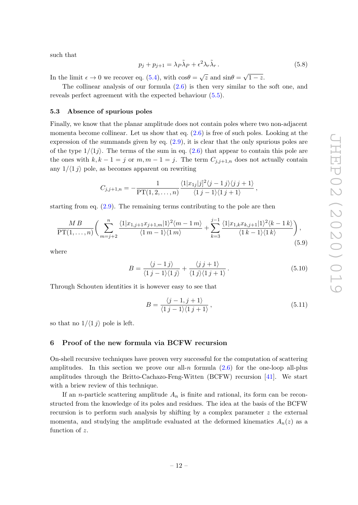such that

$$
p_j + p_{j+1} = \lambda_P \tilde{\lambda}_P + \epsilon^2 \lambda_r \tilde{\lambda}_r. \tag{5.8}
$$

In the limit  $\epsilon \to 0$  we recover eq. [\(5.4\)](#page-11-2), with  $\cos \theta = \sqrt{z}$  and  $\sin \theta =$ √  $\overline{1-z}$ .

The collinear analysis of our formula [\(2.6\)](#page-4-2) is then very similar to the soft one, and reveals perfect agreement with the expected behaviour [\(5.5\)](#page-11-3).

## <span id="page-12-0"></span>5.3 Absence of spurious poles

Finally, we know that the planar amplitude does not contain poles where two non-adjacent momenta become collinear. Let us show that eq.  $(2.6)$  is free of such poles. Looking at the expression of the summands given by eq. [\(2.9\)](#page-5-3), it is clear that the only spurious poles are of the type  $1/\langle 1j \rangle$ . The terms of the sum in eq. [\(2.6\)](#page-4-2) that appear to contain this pole are the ones with  $k, k - 1 = j$  or  $m, m - 1 = j$ . The term  $C_{j,j+1,n}$  does not actually contain any  $1/\langle 1 j \rangle$  pole, as becomes apparent on rewriting

$$
C_{j,j+1,n}=-\frac{1}{\mathrm{PT}(1,2,\ldots,n)}\frac{\langle 1|x_{1j}|j]^2\langle j-1|j\rangle\langle j|j+1\rangle}{\langle 1|j-1\rangle\langle 1|j+1\rangle},
$$

starting from eq. [\(2.9\)](#page-5-3). The remaining terms contributing to the pole are then

$$
\frac{MB}{\text{PT}(1,\ldots,n)} \bigg( \sum_{m=j+2}^{n} \frac{\langle 1 | x_{1,j+1} x_{j+1,m} | 1 \rangle^2 \langle m-1 | m \rangle}{\langle 1 | m-1 \rangle \langle 1 | m \rangle} + \sum_{k=3}^{j-1} \frac{\langle 1 | x_{1,k} x_{k,j+1} | 1 \rangle^2 \langle k-1 | k \rangle}{\langle 1 | k-1 \rangle \langle 1 | k \rangle} \bigg), \tag{5.9}
$$

where

$$
B = \frac{\langle j - 1j \rangle}{\langle 1 j - 1 \rangle \langle 1 j \rangle} + \frac{\langle j j + 1 \rangle}{\langle 1 j \rangle \langle 1 j + 1 \rangle}.
$$
 (5.10)

Through Schouten identities it is however easy to see that

$$
B = \frac{\langle j-1, j+1 \rangle}{\langle 1j-1 \rangle \langle 1j+1 \rangle},\tag{5.11}
$$

so that no  $1/\langle 1 j \rangle$  pole is left.

#### <span id="page-12-1"></span>6 Proof of the new formula via BCFW recursion

On-shell recursive techniques have proven very successful for the computation of scattering amplitudes. In this section we prove our all-n formula  $(2.6)$  for the one-loop all-plus amplitudes through the Britto-Cachazo-Feng-Witten (BCFW) recursion [\[41\]](#page-21-3). We start with a briew review of this technique.

If an *n*-particle scattering amplitude  $A_n$  is finite and rational, its form can be reconstructed from the knowledge of its poles and residues. The idea at the basis of the BCFW recursion is to perform such analysis by shifting by a complex parameter  $z$  the external momenta, and studying the amplitude evaluated at the deformed kinematics  $A_n(z)$  as a function of z.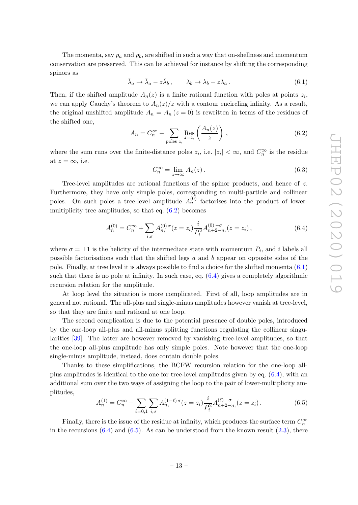The momenta, say  $p_a$  and  $p_b$ , are shifted in such a way that on-shellness and momentum conservation are preserved. This can be achieved for instance by shifting the corresponding spinors as

<span id="page-13-1"></span>
$$
\tilde{\lambda}_a \to \tilde{\lambda}_a - z \tilde{\lambda}_b, \qquad \lambda_b \to \lambda_b + z \lambda_a. \tag{6.1}
$$

Then, if the shifted amplitude  $A_n(z)$  is a finite rational function with poles at points  $z_i$ , we can apply Cauchy's theorem to  $A_n(z)/z$  with a contour encircling infinity. As a result, the original unshifted amplitude  $A_n = A_n (z = 0)$  is rewritten in terms of the residues of the shifted one,

<span id="page-13-0"></span>
$$
A_n = C_n^{\infty} - \sum_{\text{poles } z_i} \text{Res}_{z = z_i} \left( \frac{A_n(z)}{z} \right) ,\qquad (6.2)
$$

where the sum runs over the finite-distance poles  $z_i$ , i.e.  $|z_i| < \infty$ , and  $C_n^{\infty}$  is the residue at  $z = \infty$ , i.e.

$$
C_n^{\infty} = \lim_{z \to \infty} A_n(z).
$$
 (6.3)

Tree-level amplitudes are rational functions of the spinor products, and hence of z. Furthermore, they have only simple poles, corresponding to multi-particle and collinear poles. On such poles a tree-level amplitude  $A_n^{(0)}$  factorises into the product of lowermultiplicity tree amplitudes, so that eq.  $(6.2)$  becomes

<span id="page-13-2"></span>
$$
A_n^{(0)} = C_n^{\infty} + \sum_{i,\sigma} A_{n_i}^{(0)\,\sigma}(z = z_i) \frac{i}{P_i^2} A_{n+2-n_i}^{(0)\,-\sigma}(z = z_i) \,,\tag{6.4}
$$

where  $\sigma = \pm 1$  is the helicity of the intermediate state with momentum  $P_i$ , and i labels all possible factorisations such that the shifted legs  $a$  and  $b$  appear on opposite sides of the pole. Finally, at tree level it is always possible to find a choice for the shifted momenta [\(6.1\)](#page-13-1) such that there is no pole at infinity. In such case, eq.  $(6.4)$  gives a completely algorithmic recursion relation for the amplitude.

At loop level the situation is more complicated. First of all, loop amplitudes are in general not rational. The all-plus and single-minus amplitudes however vanish at tree-level, so that they are finite and rational at one loop.

The second complication is due to the potential presence of double poles, introduced by the one-loop all-plus and all-minus splitting functions regulating the collinear singularities [\[39\]](#page-21-1). The latter are however removed by vanishing tree-level amplitudes, so that the one-loop all-plus amplitude has only simple poles. Note however that the one-loop single-minus amplitude, instead, does contain double poles.

Thanks to these simplifications, the BCFW recursion relation for the one-loop allplus amplitudes is identical to the one for tree-level amplitudes given by eq. [\(6.4\)](#page-13-2), with an additional sum over the two ways of assigning the loop to the pair of lower-multiplicity amplitudes,

<span id="page-13-3"></span>
$$
A_n^{(1)} = C_n^{\infty} + \sum_{\ell=0,1} \sum_{i,\sigma} A_{n_i}^{(1-\ell)\sigma}(z=z_i) \frac{i}{P_i^2} A_{n+2-n_i}^{(\ell)-\sigma}(z=z_i). \tag{6.5}
$$

Finally, there is the issue of the residue at infinity, which produces the surface term  $C_n^{\infty}$ in the recursions  $(6.4)$  and  $(6.5)$ . As can be understood from the known result  $(2.3)$ , there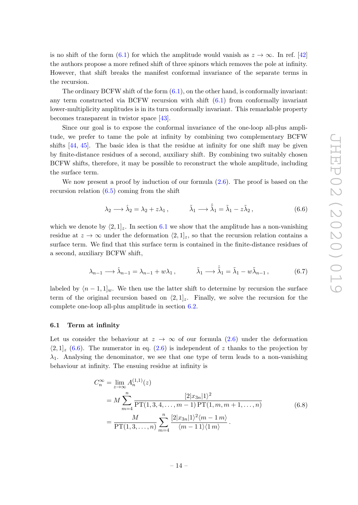is no shift of the form [\(6.1\)](#page-13-1) for which the amplitude would vanish as  $z \to \infty$ . In ref. [\[42\]](#page-21-4) the authors propose a more refined shift of three spinors which removes the pole at infinity. However, that shift breaks the manifest conformal invariance of the separate terms in the recursion.

The ordinary BCFW shift of the form  $(6.1)$ , on the other hand, is conformally invariant: any term constructed via BCFW recursion with shift [\(6.1\)](#page-13-1) from conformally invariant lower-multiplicity amplitudes is in its turn conformally invariant. This remarkable property becomes transparent in twistor space [\[43\]](#page-21-5).

Since our goal is to expose the conformal invariance of the one-loop all-plus amplitude, we prefer to tame the pole at infinity by combining two complementary BCFW shifts [\[44,](#page-21-6) [45\]](#page-21-7). The basic idea is that the residue at infinity for one shift may be given by finite-distance residues of a second, auxiliary shift. By combining two suitably chosen BCFW shifts, therefore, it may be possible to reconstruct the whole amplitude, including the surface term.

We now present a proof by induction of our formula  $(2.6)$ . The proof is based on the recursion relation  $(6.5)$  coming from the shift

<span id="page-14-3"></span><span id="page-14-1"></span>
$$
\lambda_2 \longrightarrow \hat{\lambda}_2 = \lambda_2 + z\lambda_1, \qquad \tilde{\lambda}_1 \longrightarrow \hat{\tilde{\lambda}}_1 = \tilde{\lambda}_1 - z\tilde{\lambda}_2, \qquad (6.6)
$$

which we denote by  $\langle 2, 1]_z$ . In section [6.1](#page-14-0) we show that the amplitude has a non-vanishing residue at  $z \to \infty$  under the deformation  $\langle 2, 1]_z$ , so that the recursion relation contains a surface term. We find that this surface term is contained in the finite-distance residues of a second, auxiliary BCFW shift,

$$
\lambda_{n-1} \longrightarrow \hat{\lambda}_{n-1} = \lambda_{n-1} + w\lambda_1, \qquad \tilde{\lambda}_1 \longrightarrow \hat{\tilde{\lambda}}_1 = \tilde{\lambda}_1 - w\tilde{\lambda}_{n-1}, \qquad (6.7)
$$

labeled by  $\langle n-1, 1]_w$ . We then use the latter shift to determine by recursion the surface term of the original recursion based on  $\langle 2, 1]_z$ . Finally, we solve the recursion for the complete one-loop all-plus amplitude in section [6.2.](#page-16-0)

## <span id="page-14-0"></span>6.1 Term at infinity

Let us consider the behaviour at  $z \to \infty$  of our formula [\(2.6\)](#page-4-2) under the deformation  $\langle 2, 1]_z$  [\(6.6\)](#page-14-1). The numerator in eq. [\(2.6\)](#page-4-2) is independent of z thanks to the projection by  $\lambda_1$ . Analysing the denominator, we see that one type of term leads to a non-vanishing behaviour at infinity. The ensuing residue at infinity is

<span id="page-14-2"></span>
$$
C_n^{\infty} = \lim_{z \to \infty} A_n^{(1,1)}(z)
$$
  
=  $M \sum_{m=4}^n \frac{[2|x_{3n}|]^2}{\text{PT}(1,3,4,\dots,m-1)\text{PT}(1,m,m+1,\dots,n)}$   
=  $\frac{M}{\text{PT}(1,3,\dots,n)} \sum_{m=4}^n \frac{[2|x_{3n}|]^2 \langle m-1|m \rangle}{\langle m-11 \rangle \langle 1|m \rangle}$ . (6.8)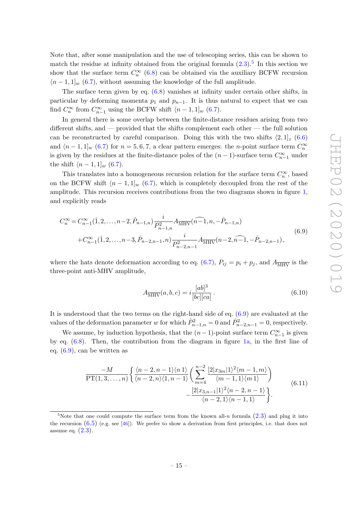Note that, after some manipulation and the use of telescoping series, this can be shown to match the residue at infinity obtained from the original formula  $(2.3)$ .<sup>[5](#page-15-0)</sup> In this section we show that the surface term  $C_n^{\infty}$  [\(6.8\)](#page-14-2) can be obtained via the auxiliary BCFW recursion  $\langle n-1, 1]_{w}$  [\(6.7\)](#page-14-3), without assuming the knowledge of the full amplitude.

The surface term given by eq. [\(6.8\)](#page-14-2) vanishes at infinity under certain other shifts, in particular by deforming momenta  $p_1$  and  $p_{n-1}$ . It is thus natural to expect that we can find  $C_n^{\infty}$  from  $C_{n-1}^{\infty}$  using the BCFW shift  $(n-1, 1]_w$  [\(6.7\)](#page-14-3).

In general there is some overlap between the finite-distance residues arising from two different shifts, and — provided that the shifts complement each other — the full solution can be reconstructed by careful comparison. Doing this with the two shifts  $(2, 1]_z$  [\(6.6\)](#page-14-1) and  $(n-1, 1]_w$  [\(6.7\)](#page-14-3) for  $n = 5, 6, 7$ , a clear pattern emerges: the *n*-point surface term  $C_n^{\infty}$ is given by the residues at the finite-distance poles of the  $(n-1)$ -surface term  $C_{n-1}^{\infty}$  under the shift  $(n - 1, 1]_w$  [\(6.7\)](#page-14-3).

This translates into a homogeneous recursion relation for the surface term  $C_n^{\infty}$ , based on the BCFW shift  $\langle n - 1, 1]_w$  [\(6.7\)](#page-14-3), which is completely decoupled from the rest of the amplitude. This recursion receives contributions from the two diagrams shown in figure [1,](#page-16-1) and explicitly reads

<span id="page-15-1"></span>
$$
C_n^{\infty} = C_{n-1}^{\infty}(\hat{1}, 2, \dots, n-2, \hat{P}_{n-1,n}) \frac{i}{P_{n-1,n}^2} A_{\overline{\text{MHV}}}(\widehat{n-1}, n, -\hat{P}_{n-1,n}) + C_{n-1}^{\infty}(\hat{1}, 2, \dots, n-3, \hat{P}_{n-2,n-1}, n) \frac{i}{P_{n-2,n-1}^2} A_{\overline{\text{MHV}}} (n-2, \widehat{n-1}, -\hat{P}_{n-2,n-1}),
$$
(6.9)

where the hats denote deformation according to eq. [\(6.7\)](#page-14-3),  $P_{ij} = p_i + p_j$ , and  $A_{\overline{\text{MHV}}}$  is the three-point anti-MHV amplitude,

<span id="page-15-3"></span>
$$
A_{\overline{\text{MHV}}}(a,b,c) = i \frac{[ab]^3}{[bc][ca]}.
$$
\n(6.10)

It is understood that the two terms on the right-hand side of eq. [\(6.9\)](#page-15-1) are evaluated at the values of the deformation parameter w for which  $\hat{P}_{n-1,n}^2 = 0$  and  $\hat{P}_{n-2,n-1}^2 = 0$ , respectively.

We assume, by induction hypothesis, that the  $(n-1)$ -point surface term  $C_{n-1}^{\infty}$  is given by eq.  $(6.8)$ . Then, the contribution from the diagram in figure [1a,](#page-16-1) in the first line of eq. [\(6.9\)](#page-15-1), can be written as

<span id="page-15-2"></span>
$$
\frac{-M}{\text{PT}(1,3,\ldots,n)} \left\{ \frac{\langle n-2,n-1\rangle\langle n\,1\rangle}{\langle n-2,n\rangle\langle 1,n-1\rangle} \left( \sum_{m=4}^{n-2} \frac{[2|x_{3m}|1\rangle^2\langle m-1,m\rangle}{\langle m-1,1\rangle\langle m\,1\rangle} \right) - \frac{[2|x_{3,n-1}|1\rangle^2\langle n-2,n-1\rangle}{\langle n-2,1\rangle\langle n-1,1\rangle} \right\}.
$$
\n(6.11)

<span id="page-15-0"></span><sup>&</sup>lt;sup>5</sup>Note that one could compute the surface term from the known all-n formula  $(2.3)$  and plug it into the recursion  $(6.5)$  (e.g. see [\[46\]](#page-21-8)). We prefer to show a derivation from first principles, i.e. that does not assume eq.  $(2.3)$ .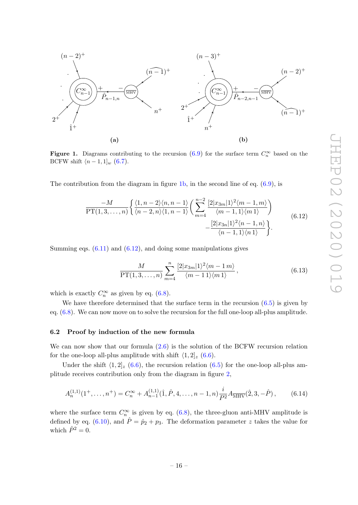<span id="page-16-1"></span>

**Figure 1.** Diagrams contributing to the recursion  $(6.9)$  for the surface term  $C_n^{\infty}$  based on the BCFW shift  $(n - 1, 1]_w$  [\(6.7\)](#page-14-3).

The contribution from the diagram in figure [1b,](#page-16-1) in the second line of eq.  $(6.9)$ , is

<span id="page-16-2"></span>
$$
\frac{-M}{\text{PT}(1,3,\ldots,n)} \left\{ \frac{\langle 1,n-2\rangle\langle n,n-1\rangle}{\langle n-2,n\rangle\langle 1,n-1\rangle} \left( \sum_{m=4}^{n-2} \frac{[2|x_{3m}|1\rangle^2\langle m-1,m\rangle}{\langle m-1,1\rangle\langle m1\rangle} \right) - \frac{[2|x_{3n}|1\rangle^2\langle n-1,n\rangle}{\langle n-1,1\rangle\langle n1\rangle} \right\}.
$$
\n(6.12)

Summing eqs.  $(6.11)$  and  $(6.12)$ , and doing some manipulations gives

<span id="page-16-3"></span>
$$
\frac{M}{\text{PT}(1,3,\ldots,n)}\sum_{m=4}^{n} \frac{[2|x_{3m}|1\rangle^2 \langle m-1\,m\rangle}{\langle m-1\,1\rangle \langle m\,1\rangle},\tag{6.13}
$$

which is exactly  $C_n^{\infty}$  as given by eq. [\(6.8\)](#page-14-2).

We have therefore determined that the surface term in the recursion  $(6.5)$  is given by eq. [\(6.8\)](#page-14-2). We can now move on to solve the recursion for the full one-loop all-plus amplitude.

## <span id="page-16-0"></span>6.2 Proof by induction of the new formula

We can now show that our formula  $(2.6)$  is the solution of the BCFW recursion relation for the one-loop all-plus amplitude with shift  $\langle 1, 2]_z$  [\(6.6\)](#page-14-1).

Under the shift  $\langle 1, 2]_z$  [\(6.6\)](#page-14-1), the recursion relation [\(6.5\)](#page-13-3) for the one-loop all-plus amplitude receives contribution only from the diagram in figure [2,](#page-17-0)

$$
A_n^{(1,1)}(1^+,\ldots,n^+) = C_n^{\infty} + A_{n-1}^{(1,1)}(\hat{1},\hat{P},4,\ldots,n-1,n) \frac{i}{P^2} A_{\overline{\text{MHV}}}(\hat{2},3,-\hat{P}),\tag{6.14}
$$

where the surface term  $C_n^{\infty}$  is given by eq. [\(6.8\)](#page-14-2), the three-gluon anti-MHV amplitude is defined by eq. [\(6.10\)](#page-15-3), and  $\hat{P} = \hat{p}_2 + p_3$ . The deformation parameter z takes the value for which  $\hat{P}^2 = 0$ .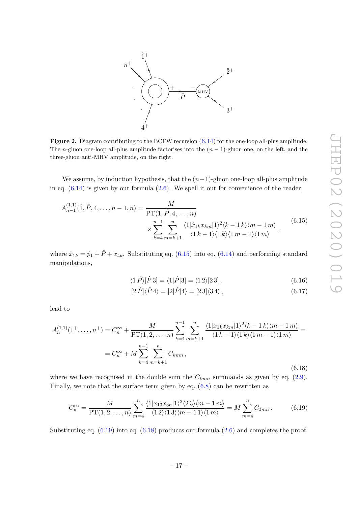<span id="page-17-0"></span>

Figure 2. Diagram contributing to the BCFW recursion  $(6.14)$  for the one-loop all-plus amplitude. The n-gluon one-loop all-plus amplitude factorises into the  $(n - 1)$ -gluon one, on the left, and the three-gluon anti-MHV amplitude, on the right.

We assume, by induction hypothesis, that the  $(n-1)$ -gluon one-loop all-plus amplitude in eq.  $(6.14)$  is given by our formula  $(2.6)$ . We spell it out for convenience of the reader,

<span id="page-17-1"></span>
$$
A_{n-1}^{(1,1)}(\hat{1}, \hat{P}, 4, \dots, n-1, n) = \frac{M}{\Pr(1, \hat{P}, 4, \dots, n)} \times \sum_{k=4}^{n-1} \sum_{m=k+1}^{n} \frac{\langle 1 | \hat{x}_{1k} x_{km} | 1 \rangle^2 \langle k-1 k \rangle \langle m-1 m \rangle}{\langle 1 k-1 \rangle \langle 1 k \rangle \langle 1 m-1 \rangle \langle 1 m \rangle},
$$
(6.15)

where  $\hat{x}_{1k} = \hat{p}_1 + \hat{P} + x_{4k}$ . Substituting eq. [\(6.15\)](#page-17-1) into eq. [\(6.14\)](#page-16-3) and performing standard manipulations,

$$
\langle 1 \hat{P} \rangle [\hat{P} 3] = \langle 1 | \hat{P} | 3] = \langle 1 2 \rangle [2 3], \tag{6.16}
$$

$$
[2\,\hat{P}]\langle\hat{P}4\rangle = [2|\hat{P}|4\rangle = [2\,3]\langle3\,4\rangle\,,\tag{6.17}
$$

lead to

<span id="page-17-3"></span>
$$
A_n^{(1,1)}(1^+,\ldots,n^+) = C_n^{\infty} + \frac{M}{\Pr(1,2,\ldots,n)} \sum_{k=4}^{n-1} \sum_{m=k+1}^n \frac{\langle 1 | x_{1k} x_{km} | 1 \rangle^2 \langle k-1 | k \rangle \langle m-1 | m \rangle}{\langle 1 | k-1 \rangle \langle 1 | k \rangle \langle 1 | m-1 \rangle \langle 1 | m \rangle} =
$$
  
=  $C_n^{\infty} + M \sum_{k=4}^{n-1} \sum_{m=k+1}^n C_{kmn},$  (6.18)

where we have recognised in the double sum the  $C_{kmn}$  summands as given by eq. [\(2.9\)](#page-5-3). Finally, we note that the surface term given by eq.  $(6.8)$  can be rewritten as

<span id="page-17-2"></span>
$$
C_n^{\infty} = \frac{M}{\text{PT}(1, 2, \dots, n)} \sum_{m=4}^n \frac{\langle 1 | x_{13} x_{3n} | 1 \rangle^2 \langle 2 \, 3 \rangle \langle m - 1 \, m \rangle}{\langle 1 \, 2 \rangle \langle 1 \, 3 \rangle \langle m - 1 \, 1 \rangle \langle 1 \, m \rangle} = M \sum_{m=4}^n C_{3mn} \,. \tag{6.19}
$$

Substituting eq.  $(6.19)$  into eq.  $(6.18)$  produces our formula  $(2.6)$  and completes the proof.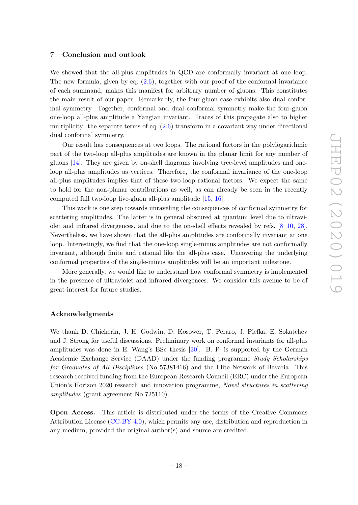## <span id="page-18-0"></span>7 Conclusion and outlook

We showed that the all-plus amplitudes in QCD are conformally invariant at one loop. The new formula, given by eq.  $(2.6)$ , together with our proof of the conformal invariance of each summand, makes this manifest for arbitrary number of gluons. This constitutes the main result of our paper. Remarkably, the four-gluon case exhibits also dual conformal symmetry. Together, conformal and dual conformal symmetry make the four-gluon one-loop all-plus amplitude a Yangian invariant. Traces of this propagate also to higher multiplicity: the separate terms of eq.  $(2.6)$  transform in a covariant way under directional dual conformal symmetry.

Our result has consequences at two loops. The rational factors in the polylogarithmic part of the two-loop all-plus amplitudes are known in the planar limit for any number of gluons [\[14\]](#page-19-10). They are given by on-shell diagrams involving tree-level amplitudes and oneloop all-plus amplitudes as vertices. Therefore, the conformal invariance of the one-loop all-plus amplitudes implies that of these two-loop rational factors. We expect the same to hold for the non-planar contributions as well, as can already be seen in the recently computed full two-loop five-gluon all-plus amplitude [\[15,](#page-19-11) [16\]](#page-19-12).

This work is one step towards unraveling the consequences of conformal symmetry for scattering amplitudes. The latter is in general obscured at quantum level due to ultraviolet and infrared divergences, and due to the on-shell effects revealed by refs. [\[8](#page-19-6)[–10,](#page-19-5) [28\]](#page-20-9). Nevertheless, we have shown that the all-plus amplitudes are conformally invariant at one loop. Interestingly, we find that the one-loop single-minus amplitudes are not conformally invariant, although finite and rational like the all-plus case. Uncovering the underlying conformal properties of the single-minus amplitudes will be an important milestone.

More generally, we would like to understand how conformal symmetry is implemented in the presence of ultraviolet and infrared divergences. We consider this avenue to be of great interest for future studies.

## Acknowledgments

We thank D. Chicherin, J. H. Godwin, D. Kosower, T. Peraro, J. Plefka, E. Sokatchev and J. Strong for useful discussions. Preliminary work on conformal invariants for all-plus amplitudes was done in E. Wang's BSc thesis [\[30\]](#page-20-11). B. P. is supported by the German Academic Exchange Service (DAAD) under the funding programme Study Scholarships for Graduates of All Disciplines (No 57381416) and the Elite Network of Bavaria. This research received funding from the European Research Council (ERC) under the European Union's Horizon 2020 research and innovation programme, Novel structures in scattering amplitudes (grant agreement No 725110).

Open Access. This article is distributed under the terms of the Creative Commons Attribution License [\(CC-BY 4.0\)](https://creativecommons.org/licenses/by/4.0/), which permits any use, distribution and reproduction in any medium, provided the original author(s) and source are credited.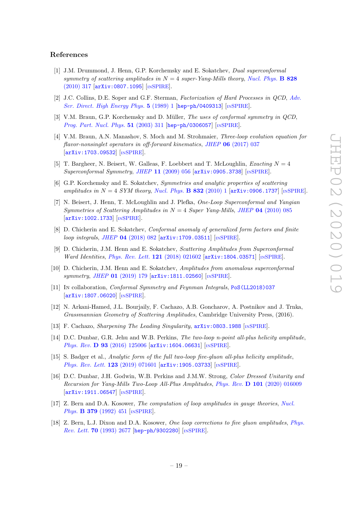## References

- <span id="page-19-0"></span>[1] J.M. Drummond, J. Henn, G.P. Korchemsky and E. Sokatchev, Dual superconformal symmetry of scattering amplitudes in  $N = 4$  super-Yang-Mills theory, [Nucl. Phys.](https://doi.org/10.1016/j.nuclphysb.2009.11.022) B 828 [\(2010\) 317](https://doi.org/10.1016/j.nuclphysb.2009.11.022) [[arXiv:0807.1095](https://arxiv.org/abs/0807.1095)] [IN[SPIRE](https://inspirehep.net/search?p=find+EPRINT+arXiv:0807.1095)].
- <span id="page-19-1"></span>[2] J.C. Collins, D.E. Soper and G.F. Sterman, Factorization of Hard Processes in QCD, [Adv.](https://doi.org/10.1142/9789814503266_0001) [Ser. Direct. High Energy Phys.](https://doi.org/10.1142/9789814503266_0001) 5 (1989) 1 [[hep-ph/0409313](https://arxiv.org/abs/hep-ph/0409313)] [IN[SPIRE](https://inspirehep.net/search?p=find+EPRINT+hep-ph/0409313)].
- <span id="page-19-2"></span>[3] V.M. Braun, G.P. Korchemsky and D. Müller, The uses of conformal symmetry in QCD, [Prog. Part. Nucl. Phys.](https://doi.org/10.1016/S0146-6410(03)90004-4) 51 (2003) 311 [[hep-ph/0306057](https://arxiv.org/abs/hep-ph/0306057)] [IN[SPIRE](https://inspirehep.net/search?p=find+EPRINT+hep-ph/0306057)].
- <span id="page-19-3"></span>[4] V.M. Braun, A.N. Manashov, S. Moch and M. Strohmaier, Three-loop evolution equation for flavor-nonsinglet operators in off-forward kinematics, JHEP 06 [\(2017\) 037](https://doi.org/10.1007/JHEP06(2017)037) [[arXiv:1703.09532](https://arxiv.org/abs/1703.09532)] [IN[SPIRE](https://inspirehep.net/search?p=find+EPRINT+arXiv:1703.09532)].
- <span id="page-19-4"></span>[5] T. Bargheer, N. Beisert, W. Galleas, F. Loebbert and T. McLoughlin, *Exacting*  $N = 4$ Superconformal Symmetry, JHEP 11 [\(2009\) 056](https://doi.org/10.1088/1126-6708/2009/11/056) [[arXiv:0905.3738](https://arxiv.org/abs/0905.3738)] [IN[SPIRE](https://inspirehep.net/search?p=find+EPRINT+arXiv:0905.3738)].
- [6] G.P. Korchemsky and E. Sokatchev, Symmetries and analytic properties of scattering amplitudes in  $N = 4$  SYM theory, [Nucl. Phys.](https://doi.org/10.1016/j.nuclphysb.2010.01.022) **B 832** (2010) 1 [[arXiv:0906.1737](https://arxiv.org/abs/0906.1737)] [IN[SPIRE](https://inspirehep.net/search?p=find+EPRINT+arXiv:0906.1737)].
- <span id="page-19-15"></span>[7] N. Beisert, J. Henn, T. McLoughlin and J. Plefka, One-Loop Superconformal and Yangian Symmetries of Scattering Amplitudes in  $N = 4$  Super Yang-Mills, JHEP 04 [\(2010\) 085](https://doi.org/10.1007/JHEP04(2010)085) [[arXiv:1002.1733](https://arxiv.org/abs/1002.1733)] [IN[SPIRE](https://inspirehep.net/search?p=find+EPRINT+arXiv:1002.1733)].
- <span id="page-19-6"></span>[8] D. Chicherin and E. Sokatchev, Conformal anomaly of generalized form factors and finite loop integrals, JHEP 04 [\(2018\) 082](https://doi.org/10.1007/JHEP04(2018)082) [[arXiv:1709.03511](https://arxiv.org/abs/1709.03511)] [IN[SPIRE](https://inspirehep.net/search?p=find+EPRINT+arXiv:1709.03511)].
- [9] D. Chicherin, J.M. Henn and E. Sokatchev, Scattering Amplitudes from Superconformal Ward Identities, [Phys. Rev. Lett.](https://doi.org/10.1103/PhysRevLett.121.021602) **121** (2018) 021602 [[arXiv:1804.03571](https://arxiv.org/abs/1804.03571)] [IN[SPIRE](https://inspirehep.net/search?p=find+EPRINT+arXiv:1804.03571)].
- <span id="page-19-5"></span>[10] D. Chicherin, J.M. Henn and E. Sokatchev, Amplitudes from anomalous superconformal symmetry, JHEP 01 [\(2019\) 179](https://doi.org/10.1007/JHEP01(2019)179) [[arXiv:1811.02560](https://arxiv.org/abs/1811.02560)] [IN[SPIRE](https://inspirehep.net/search?p=find+EPRINT+arXiv:1811.02560)].
- <span id="page-19-7"></span>[11] In collaboration, Conformal Symmetry and Feynman Integrals, [PoS\(LL2018\)037](https://pos.sissa.it/contribution?id=PoS(LL2018)037) [[arXiv:1807.06020](https://arxiv.org/abs/1807.06020)] [IN[SPIRE](https://inspirehep.net/search?p=find+EPRINT+arXiv:1807.06020)].
- <span id="page-19-8"></span>[12] N. Arkani-Hamed, J.L. Bourjaily, F. Cachazo, A.B. Goncharov, A. Postnikov and J. Trnka, Grassmannian Geometry of Scattering Amplitudes, Cambridge University Press, (2016).
- <span id="page-19-9"></span>[13] F. Cachazo, Sharpening The Leading Singularity, [arXiv:0803.1988](https://arxiv.org/abs/0803.1988) [IN[SPIRE](https://inspirehep.net/search?p=find+EPRINT+arXiv:0803.1988)].
- <span id="page-19-10"></span>[14] D.C. Dunbar, G.R. Jehu and W.B. Perkins, The two-loop n-point all-plus helicity amplitude, Phys. Rev. D 93 [\(2016\) 125006](https://doi.org/10.1103/PhysRevD.93.125006) [[arXiv:1604.06631](https://arxiv.org/abs/1604.06631)] [IN[SPIRE](https://inspirehep.net/search?p=find+EPRINT+arXiv:1604.06631)].
- <span id="page-19-11"></span>[15] S. Badger et al., Analytic form of the full two-loop five-gluon all-plus helicity amplitude, [Phys. Rev. Lett.](https://doi.org/10.1103/PhysRevLett.123.071601) **123** (2019) 071601 [[arXiv:1905.03733](https://arxiv.org/abs/1905.03733)] [IN[SPIRE](https://inspirehep.net/search?p=find+EPRINT+arXiv:1905.03733)].
- <span id="page-19-12"></span>[16] D.C. Dunbar, J.H. Godwin, W.B. Perkins and J.M.W. Strong, Color Dressed Unitarity and Recursion for Yang-Mills Two-Loop All-Plus Amplitudes, Phys. Rev. D 101 [\(2020\) 016009](https://doi.org/10.1103/PhysRevD.101.016009) [[arXiv:1911.06547](https://arxiv.org/abs/1911.06547)] [IN[SPIRE](https://inspirehep.net/search?p=find+EPRINT+arXiv:1911.06547)].
- <span id="page-19-13"></span>[17] Z. Bern and D.A. Kosower, The computation of loop amplitudes in gauge theories, [Nucl.](https://doi.org/10.1016/0550-3213(92)90134-W) Phys. **B 379** [\(1992\) 451](https://doi.org/10.1016/0550-3213(92)90134-W) [IN[SPIRE](https://inspirehep.net/search?p=find+J+%22Nucl.Phys.,B379,451%22)].
- <span id="page-19-14"></span>[18] Z. Bern, L.J. Dixon and D.A. Kosower, One loop corrections to five gluon amplitudes, [Phys.](https://doi.org/10.1103/PhysRevLett.70.2677) Rev. Lett. 70 [\(1993\) 2677](https://doi.org/10.1103/PhysRevLett.70.2677) [[hep-ph/9302280](https://arxiv.org/abs/hep-ph/9302280)] [IN[SPIRE](https://inspirehep.net/search?p=find+EPRINT+hep-ph/9302280)].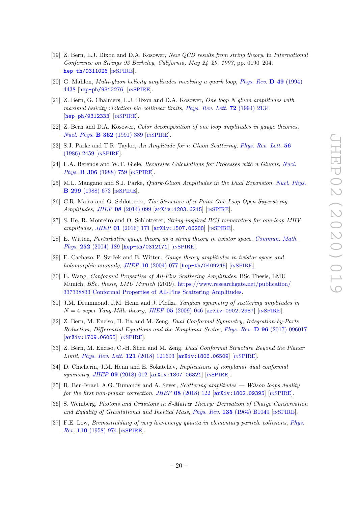- <span id="page-20-0"></span>[19] Z. Bern, L.J. Dixon and D.A. Kosower, New QCD results from string theory, in International Conference on Strings 93 Berkeley, California, May 24–29, 1993, pp. 0190–204, [hep-th/9311026](https://arxiv.org/abs/hep-th/9311026) [IN[SPIRE](https://inspirehep.net/search?p=find+EPRINT+hep-th/9311026)].
- <span id="page-20-5"></span>[20] G. Mahlon, Multi-gluon helicity amplitudes involving a quark loop, [Phys. Rev.](https://doi.org/10.1103/PhysRevD.49.4438) D 49 (1994) [4438](https://doi.org/10.1103/PhysRevD.49.4438) [[hep-ph/9312276](https://arxiv.org/abs/hep-ph/9312276)] [IN[SPIRE](https://inspirehep.net/search?p=find+EPRINT+hep-ph/9312276)].
- <span id="page-20-1"></span>[21] Z. Bern, G. Chalmers, L.J. Dixon and D.A. Kosower, One loop N gluon amplitudes with maximal helicity violation via collinear limits, [Phys. Rev. Lett.](https://doi.org/10.1103/PhysRevLett.72.2134) **72** (1994) 2134 [[hep-ph/9312333](https://arxiv.org/abs/hep-ph/9312333)] [IN[SPIRE](https://inspirehep.net/search?p=find+EPRINT+hep-ph/9312333)].
- <span id="page-20-2"></span>[22] Z. Bern and D.A. Kosower, Color decomposition of one loop amplitudes in gauge theories, [Nucl. Phys.](https://doi.org/10.1016/0550-3213(91)90567-H) **B 362** (1991) 389 [IN[SPIRE](https://inspirehep.net/search?p=find+J+%22Nucl.Phys.,B362,389%22)].
- <span id="page-20-3"></span>[23] S.J. Parke and T.R. Taylor, An Amplitude for n Gluon Scattering, [Phys. Rev. Lett.](https://doi.org/10.1103/PhysRevLett.56.2459) 56 [\(1986\) 2459](https://doi.org/10.1103/PhysRevLett.56.2459) [IN[SPIRE](https://inspirehep.net/search?p=find+J+%22Phys.Rev.Lett.,56,2459%22)].
- <span id="page-20-6"></span>[24] F.A. Berends and W.T. Giele, Recursive Calculations for Processes with n Gluons, [Nucl.](https://doi.org/10.1016/0550-3213(88)90442-7) Phys. **B 306** [\(1988\) 759](https://doi.org/10.1016/0550-3213(88)90442-7) [IN[SPIRE](https://inspirehep.net/search?p=find+J+%22Nucl.Phys.,B306,759%22)].
- <span id="page-20-4"></span>[25] M.L. Mangano and S.J. Parke, Quark-Gluon Amplitudes in the Dual Expansion, [Nucl. Phys.](https://doi.org/10.1016/0550-3213(88)90368-9) B 299 [\(1988\) 673](https://doi.org/10.1016/0550-3213(88)90368-9) [IN[SPIRE](https://inspirehep.net/search?p=find+J+%22Nucl.Phys.,B299,673%22)].
- <span id="page-20-7"></span>[26] C.R. Mafra and O. Schlotterer, The Structure of n-Point One-Loop Open Superstring Amplitudes, JHEP 08 [\(2014\) 099](https://doi.org/10.1007/JHEP08(2014)099) [[arXiv:1203.6215](https://arxiv.org/abs/1203.6215)] [IN[SPIRE](https://inspirehep.net/search?p=find+EPRINT+arXiv:1203.6215)].
- <span id="page-20-8"></span>[27] S. He, R. Monteiro and O. Schlotterer, String-inspired BCJ numerators for one-loop MHV amplitudes, JHEP 01 [\(2016\) 171](https://doi.org/10.1007/JHEP01(2016)171) [[arXiv:1507.06288](https://arxiv.org/abs/1507.06288)] [IN[SPIRE](https://inspirehep.net/search?p=find+EPRINT+arXiv:1507.06288)].
- <span id="page-20-9"></span>[28] E. Witten, Perturbative gauge theory as a string theory in twistor space, [Commun. Math.](https://doi.org/10.1007/s00220-004-1187-3) Phys. 252 [\(2004\) 189](https://doi.org/10.1007/s00220-004-1187-3) [[hep-th/0312171](https://arxiv.org/abs/hep-th/0312171)] [IN[SPIRE](https://inspirehep.net/search?p=find+EPRINT+hep-th/0312171)].
- <span id="page-20-10"></span>[29] F. Cachazo, P. Svrček and E. Witten, Gauge theory amplitudes in twistor space and holomorphic anomaly, JHEP 10 [\(2004\) 077](https://doi.org/10.1088/1126-6708/2004/10/077) [[hep-th/0409245](https://arxiv.org/abs/hep-th/0409245)] [IN[SPIRE](https://inspirehep.net/search?p=find+EPRINT+hep-th/0409245)].
- <span id="page-20-11"></span>[30] E. Wang, Conformal Properties of All-Plus Scattering Amplitudes, BSc Thesis, LMU Munich, BSc. thesis, LMU Munich (2019), [https://www.researchgate.net/publication/](https://www.researchgate.net/publication/337338833_Conformal_Properties_of_All-Plus_Scattering_Amplitudes) 337338833 Conformal Properties of All-Plus Scattering [Amplitudes.](https://www.researchgate.net/publication/337338833_Conformal_Properties_of_All-Plus_Scattering_Amplitudes)
- <span id="page-20-12"></span>[31] J.M. Drummond, J.M. Henn and J. Plefka, Yangian symmetry of scattering amplitudes in  $N = 4$  super Yang-Mills theory, JHEP 05 [\(2009\) 046](https://doi.org/10.1088/1126-6708/2009/05/046) [[arXiv:0902.2987](https://arxiv.org/abs/0902.2987)] [IN[SPIRE](https://inspirehep.net/search?p=find+EPRINT+arXiv:0902.2987)].
- <span id="page-20-13"></span>[32] Z. Bern, M. Enciso, H. Ita and M. Zeng, Dual Conformal Symmetry, Integration-by-Parts Reduction, Differential Equations and the Nonplanar Sector, Phys. Rev. D 96 [\(2017\) 096017](https://doi.org/10.1103/PhysRevD.96.096017) [[arXiv:1709.06055](https://arxiv.org/abs/1709.06055)] [IN[SPIRE](https://inspirehep.net/search?p=find+EPRINT+arXiv:1709.06055)].
- [33] Z. Bern, M. Enciso, C.-H. Shen and M. Zeng, Dual Conformal Structure Beyond the Planar Limit, [Phys. Rev. Lett.](https://doi.org/10.1103/PhysRevLett.121.121603) 121 (2018) 121603 [[arXiv:1806.06509](https://arxiv.org/abs/1806.06509)] [IN[SPIRE](https://inspirehep.net/search?p=find+EPRINT+arXiv:1806.06509)].
- <span id="page-20-14"></span>[34] D. Chicherin, J.M. Henn and E. Sokatchev, Implications of nonplanar dual conformal symmetry, JHEP 09 [\(2018\) 012](https://doi.org/10.1007/JHEP09(2018)012) [[arXiv:1807.06321](https://arxiv.org/abs/1807.06321)] [IN[SPIRE](https://inspirehep.net/search?p=find+EPRINT+arXiv:1807.06321)].
- <span id="page-20-15"></span>[35] R. Ben-Israel, A.G. Tumanov and A. Sever, Scattering amplitudes — Wilson loops duality for the first non-planar correction, JHEP  $\overline{08}$  [\(2018\) 122](https://doi.org/10.1007/JHEP08(2018)122) [[arXiv:1802.09395](https://arxiv.org/abs/1802.09395)] [IN[SPIRE](https://inspirehep.net/search?p=find+EPRINT+arXiv:1802.09395)].
- <span id="page-20-16"></span>[36] S. Weinberg, Photons and Gravitons in S-Matrix Theory: Derivation of Charge Conservation and Equality of Gravitational and Inertial Mass, Phys. Rev. 135 [\(1964\) B1049](https://doi.org/10.1103/PhysRev.135.B1049) [IN[SPIRE](https://inspirehep.net/search?p=find+J+%22Phys.Rev.,135,B1049%22)].
- <span id="page-20-17"></span>[37] F.E. Low, *Bremsstrahlung of very low-energy quanta in elementary particle collisions*, *[Phys.](https://doi.org/10.1103/PhysRev.110.974)* Rev. 110 [\(1958\) 974](https://doi.org/10.1103/PhysRev.110.974) [IN[SPIRE](https://inspirehep.net/search?p=find+J+%22Phys.Rev.,110,974%22)].